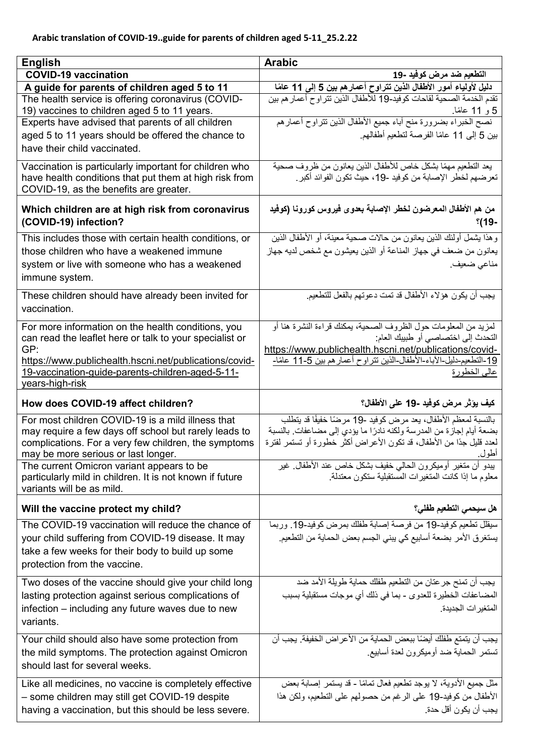| <b>English</b>                                                                                          | <b>Arabic</b>                                                                                                        |
|---------------------------------------------------------------------------------------------------------|----------------------------------------------------------------------------------------------------------------------|
| <b>COVID-19 vaccination</b>                                                                             | التطعيم ضد مرض كوفيد -19                                                                                             |
| A guide for parents of children aged 5 to 11                                                            | دليل لأولياء أمور الأطفال الذين تتراوح أعمارهم بين 5 إلى 11 عامًا                                                    |
| The health service is offering coronavirus (COVID-<br>19) vaccines to children aged 5 to 11 years.      | تقدم الخدمة الصحية لقاحات كوفيد-19 للأطفال الذين تتر اوح أعمار هم بين<br>5 و 11 عامًا.                               |
| Experts have advised that parents of all children                                                       | نصح الخبراء بضرورة منح أباء جميع الأطفال الذين نتراوح أعمارهم                                                        |
| aged 5 to 11 years should be offered the chance to                                                      | بين 5 إلى 11 عامًا الفرصة لتطعيم أطفالهم.                                                                            |
| have their child vaccinated.                                                                            |                                                                                                                      |
| Vaccination is particularly important for children who                                                  | يعد التطعيم مهمًا بشكل خاص للأطفال الذين يعانون من ظروف صحية                                                         |
| have health conditions that put them at high risk from                                                  | تعرضهم لخطر الإصابة من كوفيد -19، حيث تكون الفوائد أكبر .                                                            |
| COVID-19, as the benefits are greater.                                                                  |                                                                                                                      |
| Which children are at high risk from coronavirus<br>(COVID-19) infection?                               | من هم الأطفال المعرضون لخطر الإصابة بعدوى فيروس كورونا (كوفيد<br>°(19-                                               |
| This includes those with certain health conditions, or                                                  | و هذا يشمل أولئك الذين يعانون من حالات صحبة معينة، أو الأطفال الذين                                                  |
| those children who have a weakened immune                                                               | يعانون من ضعف في جهاز المناعة أو الذين يعيشون مع شخص لديه جهاز                                                       |
| system or live with someone who has a weakened                                                          | مناعي ضعيف.                                                                                                          |
| immune system.                                                                                          |                                                                                                                      |
| These children should have already been invited for                                                     | يجب أن يكون هؤلاء الأطفال قد تمت دعوتهم بالفعل للتطعيم.                                                              |
| vaccination.                                                                                            |                                                                                                                      |
|                                                                                                         |                                                                                                                      |
| For more information on the health conditions, you                                                      | لمزيد من المعلومات حول الظروف الصحية، يمكنك قراءة النشرة هنا أو                                                      |
| can read the leaflet here or talk to your specialist or<br>GP:                                          | التحدث إلى اختصاصيي أو طبيبك العام:<br>https://www.publichealth.hscni.net/publications/covid-                        |
| https://www.publichealth.hscni.net/publications/covid-                                                  | <u>19</u> -التطعيم-دليل-الأباء-الأطفال-الذين تتر اوح أعمار هم بين 5-11 عامًا-                                        |
| 19-vaccination-guide-parents-children-aged-5-11-                                                        | عالمي الخطورة                                                                                                        |
| years-high-risk                                                                                         |                                                                                                                      |
| How does COVID-19 affect children?                                                                      | كيف يؤثر مرض كوفيد -19 على الأطفال؟                                                                                  |
|                                                                                                         |                                                                                                                      |
| For most children COVID-19 is a mild illness that                                                       | بالنسبة لمعظم الأطفال، يعد مرض كوفيد -19 مرضًا خفيفًا قد يتطلب                                                       |
| may require a few days off school but rarely leads to                                                   | بضعة أيام إجازة من المدرسة ولكنه نادرًا ما يؤدي إلى مضاعفات. بالنسبة                                                 |
| complications. For a very few children, the symptoms                                                    | لعدد قليل جدًا من الأطفال، قد تكون الأعراض أكثر خطورة أو تستمر لفترة                                                 |
| may be more serious or last longer.                                                                     | أطول.                                                                                                                |
| The current Omicron variant appears to be                                                               | يبدو أن متغير أوميكرون الحالي خفيف بشكل خاص عند الأطفال غير<br>معلوم ما إذا كانت المتغير ات المستقبلية ستكون معتدلة. |
| particularly mild in children. It is not known if future<br>variants will be as mild.                   |                                                                                                                      |
| Will the vaccine protect my child?                                                                      | هل سيحمى التطعيم طفلى؟                                                                                               |
| The COVID-19 vaccination will reduce the chance of                                                      | سيقلل تطعيم كوفيد-19 من فرصة إصابة طفلك بمرض كوفيد-19. وربما                                                         |
| your child suffering from COVID-19 disease. It may                                                      | يستغرق الأمر بضعة أسابيع كي يبني الجسم بعض الحماية من التطعيم.                                                       |
| take a few weeks for their body to build up some                                                        |                                                                                                                      |
| protection from the vaccine.                                                                            |                                                                                                                      |
| Two doses of the vaccine should give your child long                                                    | يجب أن تمنح جر عتان من التطعيم طفلك حماية طويلة الأمد ضد                                                             |
| lasting protection against serious complications of                                                     | المضاعفات الخطيرة للعدوى - بما في ذلك أي موجات مستقبلية بسبب                                                         |
| infection – including any future waves due to new                                                       | المتغير ات الجديدة.                                                                                                  |
| variants.                                                                                               |                                                                                                                      |
|                                                                                                         |                                                                                                                      |
| Your child should also have some protection from                                                        | يجب أن يتمتع طفلك أيضًا ببعض الحماية من الأعراض الخفيفة. يجب أن                                                      |
| the mild symptoms. The protection against Omicron                                                       | تستمر الحماية ضد أوميكرون لعدة أسابيع                                                                                |
| should last for several weeks.                                                                          |                                                                                                                      |
| Like all medicines, no vaccine is completely effective                                                  | مثل جميع الأدوية، لا يوجد تطعيم فعال تمامًا - قد يستمر إصابة بعض                                                     |
| - some children may still get COVID-19 despite<br>having a vaccination, but this should be less severe. | الأطفال من كوفيد-19 على الرغم من حصولهم على التطعيم، ولكن هذا<br>يجب أن يكون أقل حدة.                                |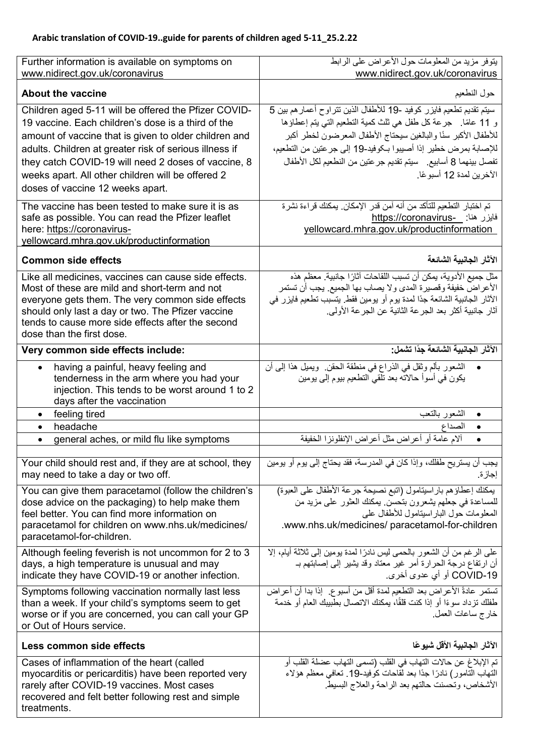| Further information is available on symptoms on                                                        | يتوفر مزيد من المعلومات حول الأعراض على الرابط                                                        |
|--------------------------------------------------------------------------------------------------------|-------------------------------------------------------------------------------------------------------|
| www.nidirect.gov.uk/coronavirus                                                                        | www.nidirect.gov.uk/coronavirus                                                                       |
| <b>About the vaccine</b>                                                                               | حول النطعيم                                                                                           |
| Children aged 5-11 will be offered the Pfizer COVID-                                                   | سيتم تقديم تطعيم فايزر كوفيد -19 للأطفال الذين نتراوح أعمار هم بين 5                                  |
| 19 vaccine. Each children's dose is a third of the                                                     | و 11 عامًا. جرعة كل طفل هي ثلث كمية التطعيم التي يتم إعطاؤها                                          |
| amount of vaccine that is given to older children and                                                  | للأطفال الأكبر سأا والبالغين سيحتاج الأطفال المعرضون لخطر أكبر                                        |
| adults. Children at greater risk of serious illness if                                                 | للإصابة بمرض خطير إذا أصيبوا بكوفيد-19 إلى جرعتين من التطعيم،                                         |
| they catch COVID-19 will need 2 doses of vaccine, 8                                                    | تفصل بينهما 8 أسابيع _ سيتم تقديم جر عتين من النطعيم لكل الأطفال                                      |
| weeks apart. All other children will be offered 2                                                      | الآخرين لمدة 12 أسبو عًا.                                                                             |
| doses of vaccine 12 weeks apart.                                                                       |                                                                                                       |
|                                                                                                        |                                                                                                       |
| The vaccine has been tested to make sure it is as<br>safe as possible. You can read the Pfizer leaflet | تم اختبار التطعيم للتأكد من أنه آمن قدر الإمكان. يمكنك قراءة نشرة<br>فايزر هنا: __https://coronavirus |
| here: https://coronavirus-                                                                             | yellowcard.mhra.gov.uk/productinformation                                                             |
| yellowcard.mhra.gov.uk/productinformation                                                              |                                                                                                       |
|                                                                                                        |                                                                                                       |
| <b>Common side effects</b>                                                                             | الآثار الجانبية الشائعة                                                                               |
| Like all medicines, vaccines can cause side effects.                                                   | مثل جميع الأدوية، يمكن أن تسبب اللقاحات آثارًا جانبية. معظم هذه                                       |
| Most of these are mild and short-term and not                                                          | الأعراض خفيفة وقصيرة المدى ولا يصاب بها الجميع. يجب أن تستمر                                          |
| everyone gets them. The very common side effects                                                       | الآثار الجانبية الشائعة جدًا لمدة يوم أو يومين فقط. يتسبب تطعيم فايزر في                              |
| should only last a day or two. The Pfizer vaccine<br>tends to cause more side effects after the second | آثار جانبية أكثر بعد الجر عة الثانية عن الجر عة الأولى.                                               |
| dose than the first dose.                                                                              |                                                                                                       |
| Very common side effects include:                                                                      | الآثار الجانبية الشائعة جدًا تشمل:                                                                    |
|                                                                                                        |                                                                                                       |
| having a painful, heavy feeling and<br>$\bullet$                                                       | الشعور بألم وثقل في الذراع في منطقة الحقن. ويميل هذا إلى أن                                           |
| tenderness in the arm where you had your                                                               | يكون في أسوأ حالاته بعد تلقى التطعيم بيوم إلىي ومين                                                   |
| injection. This tends to be worst around 1 to 2<br>days after the vaccination                          |                                                                                                       |
|                                                                                                        |                                                                                                       |
| $\bullet$                                                                                              | $\bullet$                                                                                             |
| feeling tired<br>$\bullet$                                                                             | الشعور بالنعب<br>الصداع<br>$\bullet$                                                                  |
| headache                                                                                               |                                                                                                       |
| general aches, or mild flu like symptoms                                                               | ألام عامة أو أعراض مثل أعراض الإنفلونزا الخفيفة                                                       |
| Your child should rest and, if they are at school, they                                                | يجب أن يستريح طفلك، وإذا كان في المدرسة، فقد يحتاج إلى يوم أو يومين                                   |
| may need to take a day or two off.                                                                     | إجازة.                                                                                                |
| You can give them paracetamol (follow the children's                                                   | يمكنك إعطاؤهم باراسيتامول (اتبع نصيحة جرعة الأطفال على العبوة)                                        |
| dose advice on the packaging) to help make them                                                        | للمساعدة في جعلهم يشعرون بتحسن يمكنك العثور على مزيد من                                               |
| feel better. You can find more information on                                                          | المعلومات حول البار اسيتامول للأطفال على                                                              |
| paracetamol for children on www.nhs.uk/medicines/                                                      | .www.nhs.uk/medicines/ paracetamol-for-children                                                       |
| paracetamol-for-children.                                                                              |                                                                                                       |
| Although feeling feverish is not uncommon for 2 to 3                                                   | على الرغم من أن الشعور بالحمى ليس نادرًا لمدة يومين إلى ثلاثة أيام، إلا                               |
| days, a high temperature is unusual and may                                                            | أن ارتفاع درجة الحرارة أمر غير معتاد وقد يشير إلى إصابتهم بـ                                          |
| indicate they have COVID-19 or another infection.                                                      | COVID-19 أو أي عدوى أخرى.                                                                             |
| Symptoms following vaccination normally last less                                                      | تستمر عادةً الأعراض بعد التطعيم لمدة أقل من أسبو ع. ۖ إذا بدا أن أعراض                                |
| than a week. If your child's symptoms seem to get                                                      | طفلك تزداد سوءًا أو إذا كنت فلقًا، يمكنك الاتصال بطبيبك العام أو خدمة                                 |
| worse or if you are concerned, you can call your GP                                                    | خارج ساعات العمل.                                                                                     |
| or Out of Hours service.                                                                               |                                                                                                       |
| Less common side effects                                                                               | الآثار الجانبية الأقل شبوعًا                                                                          |
| Cases of inflammation of the heart (called                                                             | تم الإبلاغ عن حالات التهاب في القلب (تسمى التهاب عضلة القلب أو                                        |
| myocarditis or pericarditis) have been reported very                                                   | التهاب التامور) نادرًا جدًا بعد لقاحات كوفيد-19. تعافي معظم هؤلاء                                     |
| rarely after COVID-19 vaccines. Most cases<br>recovered and felt better following rest and simple      | الأشخاص، وتحسنت حالتهم بعد الراحة والعلاج البسيط                                                      |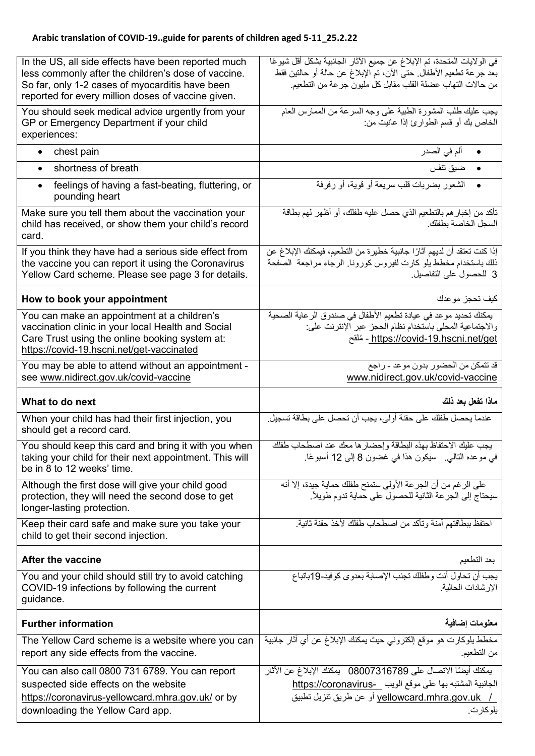| In the US, all side effects have been reported much<br>less commonly after the children's dose of vaccine.<br>So far, only 1-2 cases of myocarditis have been<br>reported for every million doses of vaccine given. | في الولايات المتحدة، تم الإبلاغ عن جميع الآثار الجانبية بشكل أقل شيوعًا<br>بعد جرعة تطعيم الأطفال. حتى الآن، تم الإبلاغ عن حالة أو حالتين فقط<br>من حالات التهاب عضلة القلب مقابل كل مليون جر عة من التطعيم. |
|---------------------------------------------------------------------------------------------------------------------------------------------------------------------------------------------------------------------|--------------------------------------------------------------------------------------------------------------------------------------------------------------------------------------------------------------|
| You should seek medical advice urgently from your<br>GP or Emergency Department if your child<br>experiences:                                                                                                       | يجب عليك طلب المشورة الطبية على وجه السرعة من الممارس العام<br>الخاص بك أو قسم الطوارئ إذا عانيت من:                                                                                                         |
| chest pain<br>$\bullet$                                                                                                                                                                                             | ألم في الصدر<br>$\bullet$                                                                                                                                                                                    |
| shortness of breath                                                                                                                                                                                                 | ضيق تنفس                                                                                                                                                                                                     |
| feelings of having a fast-beating, fluttering, or<br>$\bullet$<br>pounding heart                                                                                                                                    | الشعور بضربات قلب سريعة أو قوية، أو رفرفة                                                                                                                                                                    |
| Make sure you tell them about the vaccination your<br>child has received, or show them your child's record<br>card.                                                                                                 | تأكد من إخبار هم بالتطعيم الذي حصل عليه طفلك، أو أظهر لهم بطاقة<br>السجل الخاصبة بطفلك                                                                                                                       |
| If you think they have had a serious side effect from<br>the vaccine you can report it using the Coronavirus<br>Yellow Card scheme. Please see page 3 for details.                                                  | إذا كنت تعتقد أن لديهم آثارًا جانبية خطيرة من التطعيم، فيمكنك الإبلاغ عن<br>ذلك باستخدام مخطط يلو كارت لفيروس كورونا. الرجاء مراجعة الصفحة<br>3 للحصول على التفاصيل.                                         |
| How to book your appointment                                                                                                                                                                                        | كيف تحجز موعدك                                                                                                                                                                                               |
| You can make an appointment at a children's<br>vaccination clinic in your local Health and Social<br>Care Trust using the online booking system at:<br>https://covid-19.hscni.net/get-vaccinated                    | بِمكنك تحديد موعد في عيادة تطعيم الأطفال في صندوق الر عاية الصحية<br>والاجتماعية المحلي باستخدام نظام الحجز عبر الإنترنت على:<br><u>https://covid-19.hscni.net/get - مُلقح</u>                               |
| You may be able to attend without an appointment -<br>see www.nidirect.gov.uk/covid-vaccine                                                                                                                         | قد تتمكن من الحضور بدون موعد - راجع<br>www.nidirect.gov.uk/covid-vaccine                                                                                                                                     |
|                                                                                                                                                                                                                     |                                                                                                                                                                                                              |
| What to do next                                                                                                                                                                                                     | ماذا تفعل بعد ذلك                                                                                                                                                                                            |
| When your child has had their first injection, you<br>should get a record card.                                                                                                                                     | عندما يحصل طفلك على حقنة أولى، يجب أن تحصل على بطاقة تسجيل.                                                                                                                                                  |
| You should keep this card and bring it with you when<br>taking your child for their next appointment. This will<br>be in 8 to 12 weeks' time.                                                                       | يجب عليك الاحتفاظ بهذه البطاقة وإحضار ها معك عند اصطحاب طفلك<br>في موعده النالي.   سيكون هذا في غضون 8 إلى 12 أسبوعًا.                                                                                       |
| Although the first dose will give your child good<br>protection, they will need the second dose to get<br>longer-lasting protection.                                                                                | على الرغم من أن الجرعة الأولى ستمنح طفلك حماية جيدة، إلا أنه<br>سيحتاج إلى الجرعة الثانية للحصول على حماية تدوم طويلاً.                                                                                      |
| Keep their card safe and make sure you take your<br>child to get their second injection.                                                                                                                            | احتفظ ببطاقتهم آمنة وتأكد من اصطحاب طفلك لأخذ حقنة ثانية                                                                                                                                                     |
| After the vaccine                                                                                                                                                                                                   | بعد التطعيم                                                                                                                                                                                                  |
| You and your child should still try to avoid catching<br>COVID-19 infections by following the current<br>guidance.                                                                                                  | يجب أن تحاول أنت وطفلك تجنب الإصابة بعدوى كوفيد-19باتباع<br>الإر شادات الحالية.                                                                                                                              |
| <b>Further information</b>                                                                                                                                                                                          | معلومات إضافية                                                                                                                                                                                               |
| The Yellow Card scheme is a website where you can<br>report any side effects from the vaccine.                                                                                                                      | مخطط يلوكارت هو موقع إلكتروني حيث يمكنك الإبلاغ عن أي آثار جانبية<br>من التطعيم.                                                                                                                             |